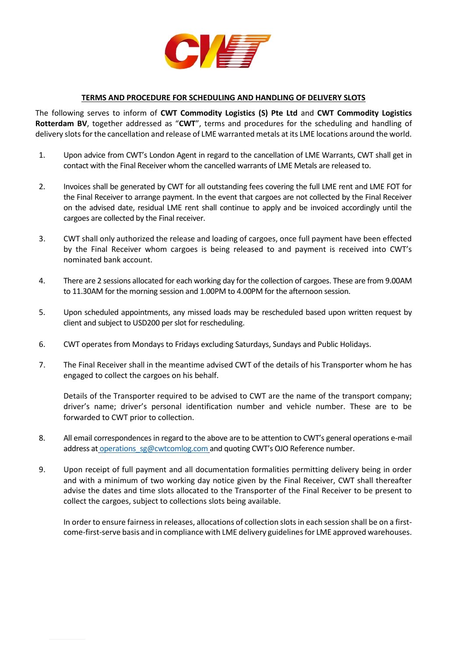

## **TERMS AND PROCEDURE FOR SCHEDULING AND HANDLING OF DELIVERY SLOTS**

The following serves to inform of **CWT Commodity Logistics (S) Pte Ltd** and **CWT Commodity Logistics Rotterdam BV**, together addressed as "**CWT**", terms and procedures for the scheduling and handling of delivery slots for the cancellation and release of LME warranted metals at its LME locations around the world.

- 1. Upon advice from CWT's London Agent in regard to the cancellation of LME Warrants, CWT shall get in contact with the Final Receiver whom the cancelled warrants of LME Metals are released to.
- 2. Invoices shall be generated by CWT for all outstanding fees covering the full LME rent and LME FOT for the Final Receiver to arrange payment. In the event that cargoes are not collected by the Final Receiver on the advised date, residual LME rent shall continue to apply and be invoiced accordingly until the cargoes are collected by the Final receiver.
- 3. CWT shall only authorized the release and loading of cargoes, once full payment have been effected by the Final Receiver whom cargoes is being released to and payment is received into CWT's nominated bank account.
- 4. There are 2 sessions allocated for each working day for the collection of cargoes. These are from 9.00AM to 11.30AM for the morning session and 1.00PM to 4.00PM for the afternoon session.
- 5. Upon scheduled appointments, any missed loads may be rescheduled based upon written request by client and subject to USD200 per slot for rescheduling.
- 6. CWT operates from Mondays to Fridays excluding Saturdays, Sundays and Public Holidays.
- 7. The Final Receiver shall in the meantime advised CWT of the details of his Transporter whom he has engaged to collect the cargoes on his behalf.

Details of the Transporter required to be advised to CWT are the name of the transport company; driver's name; driver's personal identification number and vehicle number. These are to be forwarded to CWT prior to collection.

- 8. All email correspondences in regard to the above are to be attention to CWT's general operations e-mail address [at](mailto:at_operations_sg@cwtcommodities.com) [operations\\_sg@cwtcomlog.com](mailto:operations_sg@cwtcomlog.com) and quoting CWT's OJO Reference number.
- 9. Upon receipt of full payment and all documentation formalities permitting delivery being in order and with a minimum of two working day notice given by the Final Receiver, CWT shall thereafter advise the dates and time slots allocated to the Transporter of the Final Receiver to be present to collect the cargoes, subject to collections slots being available.

In order to ensure fairness in releases, allocations of collection slots in each session shall be on a firstcome-first-serve basis and in compliance with LME delivery guidelines for LME approved warehouses.